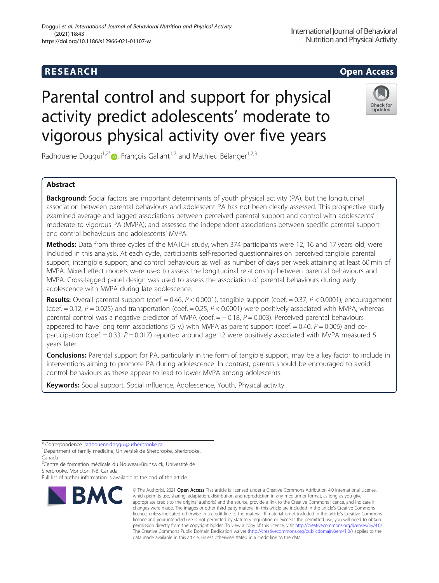# Parental control and support for physical activity predict adolescents' moderate to vigorous physical activity over five years



Radhouene Doggui<sup>1,2\*</sup>  $\bullet$ , François Gallant<sup>1,2</sup> and Mathieu Bélanger<sup>1,2,3</sup>

# Abstract

**Background:** Social factors are important determinants of youth physical activity (PA), but the longitudinal association between parental behaviours and adolescent PA has not been clearly assessed. This prospective study examined average and lagged associations between perceived parental support and control with adolescents' moderate to vigorous PA (MVPA); and assessed the independent associations between specific parental support and control behaviours and adolescents' MVPA.

Methods: Data from three cycles of the MATCH study, when 374 participants were 12, 16 and 17 years old, were included in this analysis. At each cycle, participants self-reported questionnaires on perceived tangible parental support, intangible support, and control behaviours as well as number of days per week attaining at least 60 min of MVPA. Mixed effect models were used to assess the longitudinal relationship between parental behaviours and MVPA. Cross-lagged panel design was used to assess the association of parental behaviours during early adolescence with MVPA during late adolescence.

Results: Overall parental support (coef.  $= 0.46$ ,  $P < 0.0001$ ), tangible support (coef.  $= 0.37$ ,  $P < 0.0001$ ), encouragement (coef.  $= 0.12$ ,  $P = 0.025$ ) and transportation (coef.  $= 0.25$ ,  $P < 0.0001$ ) were positively associated with MVPA, whereas parental control was a negative predictor of MVPA (coef.  $=$  -0.18,  $P$  = 0.003). Perceived parental behaviours appeared to have long term associations (5 y.) with MVPA as parent support (coef. = 0.40,  $P = 0.006$ ) and coparticipation (coef.  $= 0.33$ ,  $P = 0.017$ ) reported around age 12 were positively associated with MVPA measured 5 years later.

**Conclusions:** Parental support for PA, particularly in the form of tangible support, may be a key factor to include in interventions aiming to promote PA during adolescence. In contrast, parents should be encouraged to avoid control behaviours as these appear to lead to lower MVPA among adolescents.

Keywords: Social support, Social influence, Adolescence, Youth, Physical activity

\* Correspondence: [radhouene.doggui@usherbrooke.ca](mailto:radhouene.doggui@usherbrooke.ca) <sup>1</sup>

<sup>1</sup>Department of family medicine, Université de Sherbrooke, Sherbrooke, Canada

2 Centre de formation médicale du Nouveau-Brunswick, Université de Sherbrooke, Moncton, NB, Canada

Full list of author information is available at the end of the article



<sup>©</sup> The Author(s), 2021 **Open Access** This article is licensed under a Creative Commons Attribution 4.0 International License, which permits use, sharing, adaptation, distribution and reproduction in any medium or format, as long as you give appropriate credit to the original author(s) and the source, provide a link to the Creative Commons licence, and indicate if changes were made. The images or other third party material in this article are included in the article's Creative Commons licence, unless indicated otherwise in a credit line to the material. If material is not included in the article's Creative Commons licence and your intended use is not permitted by statutory regulation or exceeds the permitted use, you will need to obtain permission directly from the copyright holder. To view a copy of this licence, visit [http://creativecommons.org/licenses/by/4.0/.](http://creativecommons.org/licenses/by/4.0/) The Creative Commons Public Domain Dedication waiver [\(http://creativecommons.org/publicdomain/zero/1.0/](http://creativecommons.org/publicdomain/zero/1.0/)) applies to the data made available in this article, unless otherwise stated in a credit line to the data.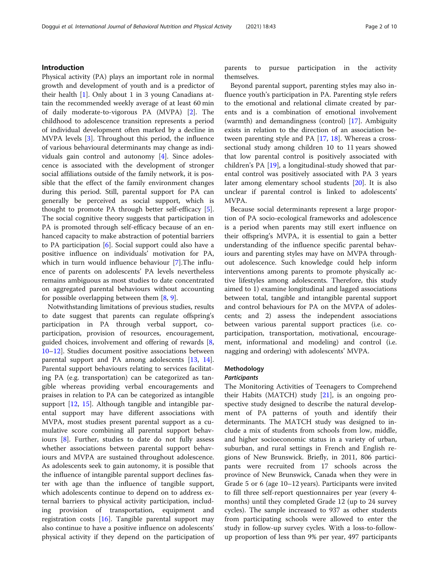# Introduction

Physical activity (PA) plays an important role in normal growth and development of youth and is a predictor of their health  $[1]$  $[1]$  $[1]$ . Only about 1 in 3 young Canadians attain the recommended weekly average of at least 60 min of daily moderate-to-vigorous PA (MVPA) [\[2](#page-8-0)]. The childhood to adolescence transition represents a period of individual development often marked by a decline in MVPA levels [\[3](#page-8-0)]. Throughout this period, the influence of various behavioural determinants may change as individuals gain control and autonomy [\[4](#page-8-0)]. Since adolescence is associated with the development of stronger social affiliations outside of the family network, it is possible that the effect of the family environment changes during this period. Still, parental support for PA can generally be perceived as social support, which is thought to promote PA through better self-efficacy [\[5](#page-8-0)]. The social cognitive theory suggests that participation in PA is promoted through self-efficacy because of an enhanced capacity to make abstraction of potential barriers to PA participation  $[6]$  $[6]$ . Social support could also have a positive influence on individuals' motivation for PA, which in turn would influence behaviour [[7\]](#page-8-0). The influence of parents on adolescents' PA levels nevertheless remains ambiguous as most studies to date concentrated on aggregated parental behaviours without accounting for possible overlapping between them [\[8](#page-8-0), [9](#page-9-0)].

Notwithstanding limitations of previous studies, results to date suggest that parents can regulate offspring's participation in PA through verbal support, coparticipation, provision of resources, encouragement, guided choices, involvement and offering of rewards [\[8](#page-8-0), [10](#page-9-0)–[12](#page-9-0)]. Studies document positive associations between parental support and PA among adolescents [\[13,](#page-9-0) [14](#page-9-0)]. Parental support behaviours relating to services facilitating PA (e.g. transportation) can be categorized as tangible whereas providing verbal encouragements and praises in relation to PA can be categorized as intangible support [[12](#page-9-0), [15](#page-9-0)]. Although tangible and intangible parental support may have different associations with MVPA, most studies present parental support as a cumulative score combining all parental support behaviours [[8\]](#page-8-0). Further, studies to date do not fully assess whether associations between parental support behaviours and MVPA are sustained throughout adolescence. As adolescents seek to gain autonomy, it is possible that the influence of intangible parental support declines faster with age than the influence of tangible support, which adolescents continue to depend on to address external barriers to physical activity participation, including provision of transportation, equipment and registration costs  $[16]$  $[16]$ . Tangible parental support may also continue to have a positive influence on adolescents' physical activity if they depend on the participation of parents to pursue participation in the activity themselves.

Beyond parental support, parenting styles may also influence youth's participation in PA. Parenting style refers to the emotional and relational climate created by parents and is a combination of emotional involvement (warmth) and demandingness (control) [\[17](#page-9-0)]. Ambiguity exists in relation to the direction of an association between parenting style and PA [[17](#page-9-0), [18\]](#page-9-0). Whereas a crosssectional study among children 10 to 11 years showed that low parental control is positively associated with children's PA [[19\]](#page-9-0), a longitudinal-study showed that parental control was positively associated with PA 3 years later among elementary school students [[20](#page-9-0)]. It is also unclear if parental control is linked to adolescents' MVPA.

Because social determinants represent a large proportion of PA socio-ecological frameworks and adolescence is a period when parents may still exert influence on their offspring's MVPA, it is essential to gain a better understanding of the influence specific parental behaviours and parenting styles may have on MVPA throughout adolescence. Such knowledge could help inform interventions among parents to promote physically active lifestyles among adolescents. Therefore, this study aimed to 1) examine longitudinal and lagged associations between total, tangible and intangible parental support and control behaviours for PA on the MVPA of adolescents; and 2) assess the independent associations between various parental support practices (i.e. coparticipation, transportation, motivational, encouragement, informational and modeling) and control (i.e. nagging and ordering) with adolescents' MVPA.

# Methodology

#### **Participants**

The Monitoring Activities of Teenagers to Comprehend their Habits (MATCH) study [[21](#page-9-0)], is an ongoing prospective study designed to describe the natural development of PA patterns of youth and identify their determinants. The MATCH study was designed to include a mix of students from schools from low, middle, and higher socioeconomic status in a variety of urban, suburban, and rural settings in French and English regions of New Brunswick. Briefly, in 2011, 806 participants were recruited from 17 schools across the province of New Brunswick, Canada when they were in Grade 5 or 6 (age 10–12 years). Participants were invited to fill three self-report questionnaires per year (every 4 months) until they completed Grade 12 (up to 24 survey cycles). The sample increased to 937 as other students from participating schools were allowed to enter the study in follow-up survey cycles. With a loss-to-followup proportion of less than 9% per year, 497 participants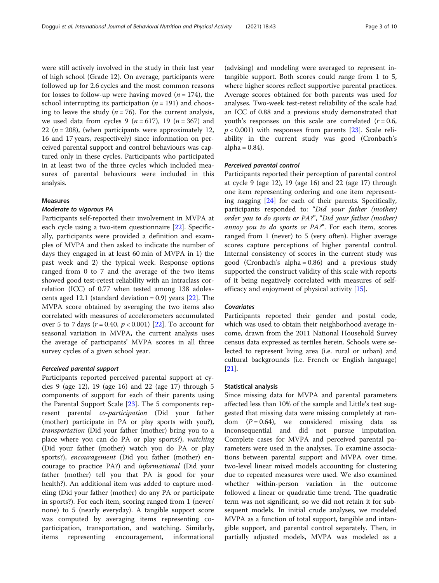were still actively involved in the study in their last year of high school (Grade 12). On average, participants were followed up for 2.6 cycles and the most common reasons for losses to follow-up were having moved  $(n = 174)$ , the school interrupting its participation ( $n = 191$ ) and choosing to leave the study ( $n = 76$ ). For the current analysis, we used data from cycles 9 ( $n = 617$ ), 19 ( $n = 367$ ) and 22 ( $n = 208$ ), (when participants were approximately 12, 16 and 17 years, respectively) since information on perceived parental support and control behaviours was captured only in these cycles. Participants who participated in at least two of the three cycles which included measures of parental behaviours were included in this analysis.

## Measures

# Moderate to vigorous PA

Participants self-reported their involvement in MVPA at each cycle using a two-item questionnaire [\[22\]](#page-9-0). Specifically, participants were provided a definition and examples of MVPA and then asked to indicate the number of days they engaged in at least 60 min of MVPA in 1) the past week and 2) the typical week. Response options ranged from 0 to 7 and the average of the two items showed good test-retest reliability with an intraclass correlation (ICC) of 0.77 when tested among 138 adolescents aged 12.1 (standard deviation =  $0.9$ ) years [ $22$ ]. The MVPA score obtained by averaging the two items also correlated with measures of accelerometers accumulated over 5 to 7 days ( $r = 0.40$ ,  $p < 0.001$ ) [[22\]](#page-9-0). To account for seasonal variation in MVPA, the current analysis uses the average of participants' MVPA scores in all three survey cycles of a given school year.

#### Perceived parental support

Participants reported perceived parental support at cycles 9 (age 12), 19 (age 16) and 22 (age 17) through 5 components of support for each of their parents using the Parental Support Scale [\[23](#page-9-0)]. The 5 components represent parental co-participation (Did your father (mother) participate in PA or play sports with you?), transportation (Did your father (mother) bring you to a place where you can do PA or play sports?), watching (Did your father (mother) watch you do PA or play sports?), encouragement (Did you father (mother) encourage to practice PA?) and informational (Did your father (mother) tell you that PA is good for your health?). An additional item was added to capture modeling (Did your father (mother) do any PA or participate in sports?). For each item, scoring ranged from 1 (never/ none) to 5 (nearly everyday). A tangible support score was computed by averaging items representing coparticipation, transportation, and watching. Similarly, items representing encouragement, informational

(advising) and modeling were averaged to represent intangible support. Both scores could range from 1 to 5, where higher scores reflect supportive parental practices. Average scores obtained for both parents was used for analyses. Two-week test-retest reliability of the scale had an ICC of 0.88 and a previous study demonstrated that youth's responses on this scale are correlated  $(r = 0.6,$  $p < 0.001$ ) with responses from parents [[23\]](#page-9-0). Scale reliability in the current study was good (Cronbach's alpha  $= 0.84$ ).

# Perceived parental control

Participants reported their perception of parental control at cycle 9 (age 12), 19 (age 16) and 22 (age 17) through one item representing ordering and one item representing nagging [[24](#page-9-0)] for each of their parents. Specifically, participants responded to: "Did your father (mother) order you to do sports or PA?", "Did your father (mother) annoy you to do sports or PA?". For each item, scores ranged from 1 (never) to 5 (very often). Higher average scores capture perceptions of higher parental control. Internal consistency of scores in the current study was good (Cronbach's alpha = 0.86) and a previous study supported the construct validity of this scale with reports of it being negatively correlated with measures of selfefficacy and enjoyment of physical activity [[15](#page-9-0)].

# **Covariates**

Participants reported their gender and postal code, which was used to obtain their neighborhood average income, drawn from the 2011 National Household Survey census data expressed as tertiles herein. Schools were selected to represent living area (i.e. rural or urban) and cultural backgrounds (i.e. French or English language) [[21\]](#page-9-0).

#### Statistical analysis

Since missing data for MVPA and parental parameters affected less than 10% of the sample and Little's test suggested that missing data were missing completely at random  $(P = 0.64)$ , we considered missing data as inconsequential and did not pursue imputation. Complete cases for MVPA and perceived parental parameters were used in the analyses. To examine associations between parental support and MVPA over time, two-level linear mixed models accounting for clustering due to repeated measures were used. We also examined whether within-person variation in the outcome followed a linear or quadratic time trend. The quadratic term was not significant, so we did not retain it for subsequent models. In initial crude analyses, we modeled MVPA as a function of total support, tangible and intangible support, and parental control separately. Then, in partially adjusted models, MVPA was modeled as a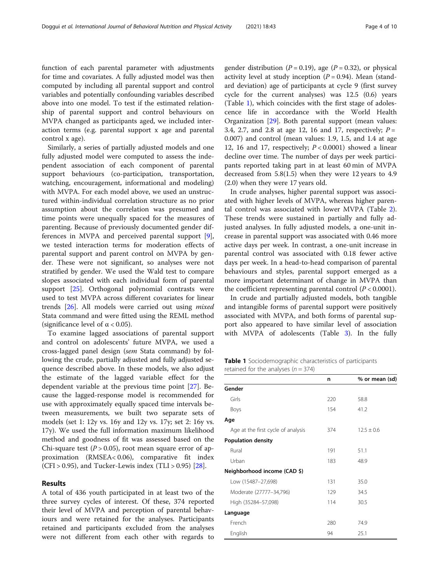function of each parental parameter with adjustments for time and covariates. A fully adjusted model was then computed by including all parental support and control variables and potentially confounding variables described above into one model. To test if the estimated relationship of parental support and control behaviours on MVPA changed as participants aged, we included interaction terms (e.g. parental support x age and parental control x age).

Similarly, a series of partially adjusted models and one fully adjusted model were computed to assess the independent association of each component of parental support behaviours (co-participation, transportation, watching, encouragement, informational and modeling) with MVPA. For each model above, we used an unstructured within-individual correlation structure as no prior assumption about the correlation was presumed and time points were unequally spaced for the measures of parenting. Because of previously documented gender differences in MVPA and perceived parental support [\[9](#page-9-0)], we tested interaction terms for moderation effects of parental support and parent control on MVPA by gender. These were not significant, so analyses were not stratified by gender. We used the Wald test to compare slopes associated with each individual form of parental support [\[25](#page-9-0)]. Orthogonal polynomial contrasts were used to test MVPA across different covariates for linear trends [[26](#page-9-0)]. All models were carried out using mixed Stata command and were fitted using the REML method (significance level of  $\alpha$  < 0.05).

To examine lagged associations of parental support and control on adolescents' future MVPA, we used a cross-lagged panel design (sem Stata command) by following the crude, partially adjusted and fully adjusted sequence described above. In these models, we also adjust the estimate of the lagged variable effect for the dependent variable at the previous time point [[27](#page-9-0)]. Because the lagged-response model is recommended for use with approximately equally spaced time intervals between measurements, we built two separate sets of models (set 1: 12y vs. 16y and 12y vs. 17y; set 2: 16y vs. 17y). We used the full information maximum likelihood method and goodness of fit was assessed based on the Chi-square test  $(P > 0.05)$ , root mean square error of approximation (RMSEA< 0.06), comparative fit index  $(CFI > 0.95)$ , and Tucker-Lewis index  $(TLI > 0.95)$  [\[28](#page-9-0)].

# Results

A total of 436 youth participated in at least two of the three survey cycles of interest. Of these, 374 reported their level of MVPA and perception of parental behaviours and were retained for the analyses. Participants retained and participants excluded from the analyses were not different from each other with regards to gender distribution ( $P = 0.19$ ), age ( $P = 0.32$ ), or physical activity level at study inception  $(P = 0.94)$ . Mean (standard deviation) age of participants at cycle 9 (first survey cycle for the current analyses) was 12.5 (0.6) years (Table 1), which coincides with the first stage of adolescence life in accordance with the World Health Organization [\[29](#page-9-0)]. Both parental support (mean values: 3.4, 2.7, and 2.8 at age 12, 16 and 17, respectively;  $P =$ 0.007) and control (mean values: 1.9, 1.5, and 1.4 at age 12, 16 and 17, respectively;  $P < 0.0001$ ) showed a linear decline over time. The number of days per week participants reported taking part in at least 60 min of MVPA decreased from 5.8(1.5) when they were 12 years to 4.9 (2.0) when they were 17 years old.

In crude analyses, higher parental support was associated with higher levels of MVPA, whereas higher parental control was associated with lower MVPA (Table [2](#page-4-0)). These trends were sustained in partially and fully adjusted analyses. In fully adjusted models, a one-unit increase in parental support was associated with 0.46 more active days per week. In contrast, a one-unit increase in parental control was associated with 0.18 fewer active days per week. In a head-to-head comparison of parental behaviours and styles, parental support emerged as a more important determinant of change in MVPA than the coefficient representing parental control  $(P < 0.0001)$ .

In crude and partially adjusted models, both tangible and intangible forms of parental support were positively associated with MVPA, and both forms of parental support also appeared to have similar level of association with MVPA of adolescents (Table [3](#page-5-0)). In the fully

Table 1 Sociodemographic characteristics of participants retained for the analyses  $(n = 374)$ 

|                                    | n   | % or mean (sd) |
|------------------------------------|-----|----------------|
| Gender                             |     |                |
| Girls                              | 220 | 58.8           |
| Boys                               | 154 | 41.2           |
| Age                                |     |                |
| Age at the first cycle of analysis | 374 | $12.5 + 0.6$   |
| <b>Population density</b>          |     |                |
| Rural                              | 191 | 51.1           |
| Urban                              | 183 | 48.9           |
| Neighborhood income (CAD \$)       |     |                |
| Low (15487-27.698)                 | 131 | 35.0           |
| Moderate (27777-34,796)            | 129 | 34.5           |
| High (35284-57,098)                | 114 | 30.5           |
| Language                           |     |                |
| French                             | 280 | 74.9           |
| English                            | 94  | 25.1           |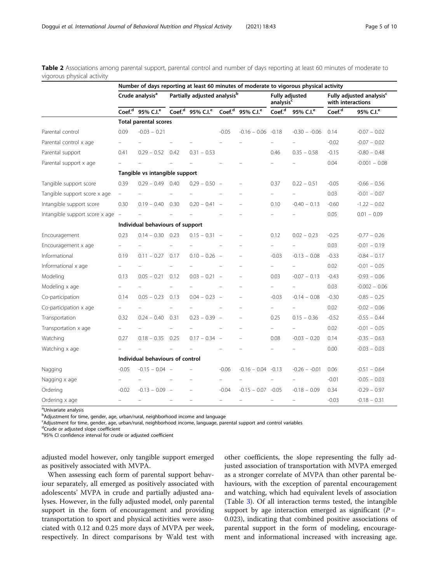|                                | Number of days reporting at least 60 minutes of moderate to vigorous physical activity |                                          |                                          |                                 |                          |                                                |                          |                                                           |                    |                       |
|--------------------------------|----------------------------------------------------------------------------------------|------------------------------------------|------------------------------------------|---------------------------------|--------------------------|------------------------------------------------|--------------------------|-----------------------------------------------------------|--------------------|-----------------------|
|                                | Crude analysis <sup>a</sup>                                                            |                                          | Partially adjusted analysis <sup>b</sup> |                                 |                          | <b>Fully adjusted</b><br>analysis <sup>c</sup> |                          | Fully adjusted analysis <sup>c</sup><br>with interactions |                    |                       |
|                                |                                                                                        | Coef. <sup>d</sup> 95% C.I. <sup>e</sup> |                                          | Coef. $d$ 95% C.I. <sup>e</sup> |                          | Coef. <sup>d</sup> 95% C.I. <sup>e</sup>       | Coef. <sup>d</sup>       | 95% C.I. <sup>e</sup>                                     | Coef. <sup>d</sup> | 95% C.I. <sup>e</sup> |
|                                | <b>Total parental scores</b>                                                           |                                          |                                          |                                 |                          |                                                |                          |                                                           |                    |                       |
| Parental control               | 0.09                                                                                   | $-0.03 - 0.21$                           |                                          |                                 | $-0.05$                  | $-0.16 - 0.06$                                 | $-0.18$                  | $-0.30 - -0.06$                                           | 0.14               | $-0.07 - 0.02$        |
| Parental control x age         |                                                                                        |                                          |                                          |                                 |                          |                                                |                          |                                                           | $-0.02$            | $-0.07 - 0.02$        |
| Parental support               | 0.41                                                                                   | $0.29 - 0.52$                            | 0.42                                     | $0.31 - 0.53$                   |                          |                                                | 0.46                     | $0.35 - 0.58$                                             | $-0.15$            | $-0.80 - 0.48$        |
| Parental support x age         |                                                                                        |                                          |                                          |                                 |                          |                                                |                          |                                                           | 0.04               | $-0.001 - 0.08$       |
|                                |                                                                                        | Tangible vs intangible support           |                                          |                                 |                          |                                                |                          |                                                           |                    |                       |
| Tangible support score         | 0.39                                                                                   | $0.29 - 0.49$                            | 0.40                                     | $0.29 - 0.50 -$                 |                          |                                                | 0.37                     | $0.22 - 0.51$                                             | $-0.05$            | $-0.66 - 0.56$        |
| Tangible support score x age   | $\overline{\phantom{0}}$                                                               |                                          |                                          |                                 |                          |                                                | Ξ.                       |                                                           | 0.03               | $-0.01 - 0.07$        |
| Intangible support score       | 0.30                                                                                   | $0.19 - 0.40$                            | 0.30                                     | $0.20 - 0.41$                   | $\overline{a}$           |                                                | 0.10                     | $-0.40 - 0.13$                                            | $-0.60$            | $-1.22 - 0.02$        |
| Intangible support score x age | $\equiv$                                                                               |                                          |                                          |                                 |                          |                                                |                          |                                                           | 0.05               | $0.01 - 0.09$         |
|                                |                                                                                        | Individual behaviours of support         |                                          |                                 |                          |                                                |                          |                                                           |                    |                       |
| Encouragement                  | 0.23                                                                                   | $0.14 - 0.30$                            | 0.23                                     | $0.15 - 0.31 -$                 |                          |                                                | 0.12                     | $0.02 - 0.23$                                             | $-0.25$            | $-0.77 - 0.26$        |
| Encouragement x age            |                                                                                        |                                          |                                          |                                 |                          | $\equiv$                                       | $\overline{\phantom{0}}$ |                                                           | 0.03               | $-0.01 - 0.19$        |
| Informational                  | 0.19                                                                                   | $0.11 - 0.27$                            | 0.17                                     | $0.10 - 0.26$ -                 |                          |                                                | $-0.03$                  | $-0.13 - 0.08$                                            | $-0.33$            | $-0.84 - 0.17$        |
| Informational x age            |                                                                                        |                                          |                                          |                                 |                          |                                                | $\equiv$                 |                                                           | 0.02               | $-0.01 - 0.05$        |
| Modeling                       | 0.13                                                                                   | $0.05 - 0.21$                            | 0.12                                     | $0.03 - 0.21$                   | $\equiv$                 |                                                | 0.03                     | $-0.07 - 0.13$                                            | $-0.43$            | $-0.93 - 0.06$        |
| Modeling x age                 |                                                                                        |                                          |                                          |                                 |                          |                                                | $\equiv$                 |                                                           | 0.03               | $-0.002 - 0.06$       |
| Co-participation               | 0.14                                                                                   | $0.05 - 0.23$                            | 0.13                                     | $0.04 - 0.23 -$                 |                          |                                                | $-0.03$                  | $-0.14 - 0.08$                                            | $-0.30$            | $-0.85 - 0.25$        |
| Co-participation x age         |                                                                                        |                                          |                                          |                                 | ÷,                       |                                                | $\overline{\phantom{0}}$ |                                                           | 0.02               | $-0.02 - 0.06$        |
| Transportation                 | 0.32                                                                                   | $0.24 - 0.40$                            | 0.31                                     | $0.23 - 0.39 -$                 |                          |                                                | 0.25                     | $0.15 - 0.36$                                             | $-0.52$            | $-0.55 - 0.44$        |
| Transportation x age           |                                                                                        |                                          |                                          |                                 |                          |                                                | $\overline{\phantom{0}}$ |                                                           | 0.02               | $-0.01 - 0.05$        |
| Watching                       | 0.27                                                                                   | $0.18 - 0.35$                            | 0.25                                     | $0.17 - 0.34$                   | $\frac{1}{2}$            |                                                | 0.08                     | $-0.03 - 0.20$                                            | 0.14               | $-0.35 - 0.63$        |
| Watching x age                 |                                                                                        |                                          |                                          |                                 |                          |                                                |                          |                                                           | 0.00               | $-0.03 - 0.03$        |
|                                | Individual behaviours of control                                                       |                                          |                                          |                                 |                          |                                                |                          |                                                           |                    |                       |
| Nagging                        | $-0.05$                                                                                | $-0.15 - 0.04 -$                         |                                          |                                 | $-0.06$                  | $-0.16 - 0.04 -0.13$                           |                          | $-0.26 - 0.01$                                            | 0.06               | $-0.51 - 0.64$        |
| Nagging x age                  |                                                                                        |                                          |                                          |                                 |                          |                                                |                          |                                                           | $-0.01$            | $-0.05 - 0.03$        |
| Ordering                       | $-0.02$                                                                                | $-0.13 - 0.09$                           | $\frac{1}{2}$                            |                                 | $-0.04$                  | $-0.15 - 0.07 - 0.05$                          |                          | $-0.18 - 0.09$                                            | 0.34               | $-0.29 - 0.97$        |
| Ordering x age                 | $\overline{\phantom{0}}$                                                               |                                          |                                          | $\equiv$                        | $\overline{\phantom{0}}$ | $\overline{\phantom{0}}$                       | $\overline{\phantom{0}}$ | $\overline{\phantom{0}}$                                  | $-0.03$            | $-0.18 - 0.31$        |

<span id="page-4-0"></span>Table 2 Associations among parental support, parental control and number of days reporting at least 60 minutes of moderate to vigorous physical activity

<sup>a</sup>Univariate analysis

<sup>b</sup>Adjustment for time, gender, age, urban/rural, neighborhood income and language

<sup>c</sup>Adjustment for time, gender, age, urban/rural, neighborhood income, language, parental support and control variables

<sup>d</sup>Crude or adjusted slope coefficient

<sup>e</sup>95% CI confidence interval for crude or adjusted coefficient

adjusted model however, only tangible support emerged as positively associated with MVPA.

When assessing each form of parental support behaviour separately, all emerged as positively associated with adolescents' MVPA in crude and partially adjusted analyses. However, in the fully adjusted model, only parental support in the form of encouragement and providing transportation to sport and physical activities were associated with 0.12 and 0.25 more days of MVPA per week, respectively. In direct comparisons by Wald test with

other coefficients, the slope representing the fully adjusted association of transportation with MVPA emerged as a stronger correlate of MVPA than other parental behaviours, with the exception of parental encouragement and watching, which had equivalent levels of association (Table [3\)](#page-5-0). Of all interaction terms tested, the intangible support by age interaction emerged as significant ( $P =$ 0.023), indicating that combined positive associations of parental support in the form of modeling, encouragement and informational increased with increasing age.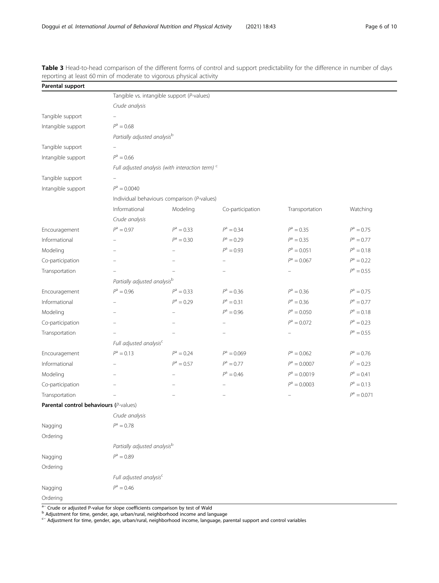|  | Page 6 of 10 |  |  |  |  |
|--|--------------|--|--|--|--|
|--|--------------|--|--|--|--|

| Parental support                       | reporting at icast commit of moderate to vigorous prijsical activity |                                                             |                  |                |               |  |  |  |  |  |
|----------------------------------------|----------------------------------------------------------------------|-------------------------------------------------------------|------------------|----------------|---------------|--|--|--|--|--|
|                                        |                                                                      | Tangible vs. intangible support (P-values)                  |                  |                |               |  |  |  |  |  |
|                                        | Crude analysis                                                       |                                                             |                  |                |               |  |  |  |  |  |
| Tangible support                       |                                                                      |                                                             |                  |                |               |  |  |  |  |  |
| Intangible support                     | $P^a = 0.68$                                                         |                                                             |                  |                |               |  |  |  |  |  |
|                                        |                                                                      | Partially adjusted analysis <sup>b</sup>                    |                  |                |               |  |  |  |  |  |
| Tangible support                       |                                                                      |                                                             |                  |                |               |  |  |  |  |  |
| Intangible support                     |                                                                      |                                                             |                  |                |               |  |  |  |  |  |
|                                        |                                                                      | $P^a = 0.66$                                                |                  |                |               |  |  |  |  |  |
| Tangible support                       |                                                                      | Full adjusted analysis (with interaction term) <sup>c</sup> |                  |                |               |  |  |  |  |  |
| Intangible support                     | $P^a = 0.0040$                                                       |                                                             |                  |                |               |  |  |  |  |  |
|                                        |                                                                      | Individual behaviours comparison (P-values)                 |                  |                |               |  |  |  |  |  |
|                                        | Informational                                                        | Modeling                                                    | Co-participation | Transportation | Watching      |  |  |  |  |  |
|                                        | Crude analysis                                                       |                                                             |                  |                |               |  |  |  |  |  |
| Encouragement                          | $P^a = 0.97$                                                         | $P^a = 0.33$                                                | $P^a = 0.34$     | $P^a = 0.35$   | $P^a = 0.75$  |  |  |  |  |  |
| Informational                          |                                                                      | $P^a = 0.30$                                                | $P^a = 0.29$     | $P^a = 0.35$   | $P^a = 0.77$  |  |  |  |  |  |
| Modeling                               |                                                                      |                                                             | $P^a = 0.93$     | $P^a = 0.051$  | $P^a = 0.18$  |  |  |  |  |  |
| Co-participation                       |                                                                      |                                                             |                  | $P^a = 0.067$  | $P^a = 0.22$  |  |  |  |  |  |
| Transportation                         |                                                                      |                                                             |                  |                | $P^a = 0.55$  |  |  |  |  |  |
|                                        | Partially adjusted analysisb                                         |                                                             |                  |                |               |  |  |  |  |  |
| Encouragement                          | $P^a = 0.96$                                                         | $P^a = 0.33$                                                | $P^a = 0.36$     | $P^a = 0.36$   | $P^a = 0.75$  |  |  |  |  |  |
| Informational                          |                                                                      | $P^a = 0.29$                                                | $P^a = 0.31$     | $P^a = 0.36$   | $P^a = 0.77$  |  |  |  |  |  |
| Modeling                               |                                                                      |                                                             | $P^a = 0.96$     | $P^a = 0.050$  | $P^a = 0.18$  |  |  |  |  |  |
| Co-participation                       |                                                                      |                                                             |                  | $P^a = 0.072$  | $P^a = 0.23$  |  |  |  |  |  |
| Transportation                         |                                                                      |                                                             |                  |                | $P^a = 0.55$  |  |  |  |  |  |
|                                        |                                                                      | Full adjusted analysis <sup>c</sup>                         |                  |                |               |  |  |  |  |  |
| Encouragement                          | $P^a = 0.13$                                                         | $P^a = 0.24$                                                | $P^a = 0.069$    | $P^a = 0.062$  | $P^a = 0.76$  |  |  |  |  |  |
| Informational                          |                                                                      | $P^a = 0.57$                                                | $P^a = 0.77$     | $P^a = 0.0007$ | $P^1 = 0.23$  |  |  |  |  |  |
| Modeling                               |                                                                      |                                                             | $P^a = 0.46$     | $P^a = 0.0019$ | $P^a = 0.41$  |  |  |  |  |  |
| Co-participation                       |                                                                      |                                                             |                  | $P^a = 0.0003$ | $P^a = 0.13$  |  |  |  |  |  |
| Transportation                         |                                                                      |                                                             |                  |                | $P^a = 0.071$ |  |  |  |  |  |
| Parental control behaviours (P-values) |                                                                      |                                                             |                  |                |               |  |  |  |  |  |
|                                        | Crude analysis                                                       |                                                             |                  |                |               |  |  |  |  |  |
| Nagging                                | $P^a = 0.78$                                                         |                                                             |                  |                |               |  |  |  |  |  |
| Ordering                               |                                                                      |                                                             |                  |                |               |  |  |  |  |  |
|                                        |                                                                      | Partially adjusted analysisb                                |                  |                |               |  |  |  |  |  |
| Nagging                                | $P^a = 0.89$                                                         |                                                             |                  |                |               |  |  |  |  |  |
| Ordering                               |                                                                      |                                                             |                  |                |               |  |  |  |  |  |
|                                        | Full adjusted analysis <sup>c</sup>                                  |                                                             |                  |                |               |  |  |  |  |  |
| Nagging                                | $P^a = 0.46$                                                         |                                                             |                  |                |               |  |  |  |  |  |
| Ordering                               |                                                                      |                                                             |                  |                |               |  |  |  |  |  |

<span id="page-5-0"></span>Table 3 Head-to-head comparison of the different forms of control and support predictability for the difference in number of days reporting at least 60 min of moderate to vigorous physical activity

<sup>a–</sup> Crude or adjusted P-value for slope coefficients comparison by test of Wald<br><sup>b</sup> Adjustment for time, gender, age, urban/rural, neighborhood income and language

<sup>c</sup><sup>−</sup> Adjustment for time, gender, age, urban/rural, neighborhood income, language, parental support and control variables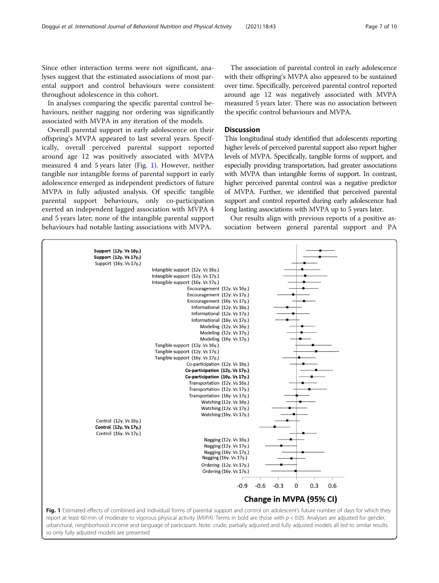Since other interaction terms were not significant, analyses suggest that the estimated associations of most parental support and control behaviours were consistent throughout adolescence in this cohort.

In analyses comparing the specific parental control behaviours, neither nagging nor ordering was significantly associated with MVPA in any iteration of the models.

Overall parental support in early adolescence on their offspring's MVPA appeared to last several years. Specifically, overall perceived parental support reported around age 12 was positively associated with MVPA measured 4 and 5 years later (Fig. 1). However, neither tangible nor intangible forms of parental support in early adolescence emerged as independent predictors of future MVPA in fully adjusted analysis. Of specific tangible parental support behaviours, only co-participation exerted an independent lagged association with MVPA 4 and 5 years later; none of the intangible parental support behaviours had notable lasting associations with MVPA.

The association of parental control in early adolescence with their offspring's MVPA also appeared to be sustained over time. Specifically, perceived parental control reported around age 12 was negatively associated with MVPA measured 5 years later. There was no association between the specific control behaviours and MVPA.

# **Discussion**

This longitudinal study identified that adolescents reporting higher levels of perceived parental support also report higher levels of MVPA. Specifically, tangible forms of support, and especially providing transportation, had greater associations with MVPA than intangible forms of support. In contrast, higher perceived parental control was a negative predictor of MVPA. Further, we identified that perceived parental support and control reported during early adolescence had long lasting associations with MVPA up to 5 years later.

Our results align with previous reports of a positive association between general parental support and PA



urban/rural, neighborhood income and language of participant. Note: crude, partially adjusted and fully adjusted models all led to similar results so only fully adjusted models are presented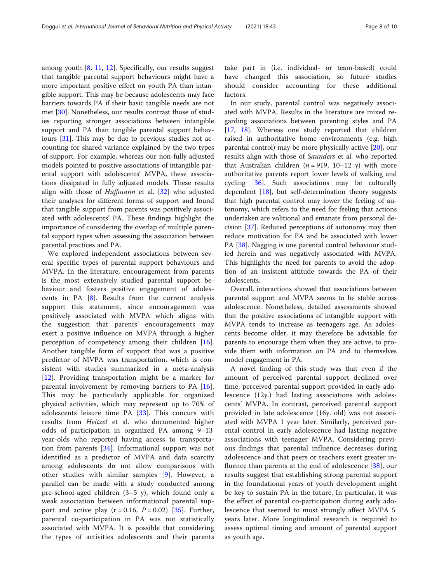among youth [[8,](#page-8-0) [11](#page-9-0), [12](#page-9-0)]. Specifically, our results suggest that tangible parental support behaviours might have a more important positive effect on youth PA than intangible support. This may be because adolescents may face barriers towards PA if their basic tangible needs are not met [[30](#page-9-0)]. Nonetheless, our results contrast those of studies reporting stronger associations between intangible support and PA than tangible parental support behaviours [\[31\]](#page-9-0). This may be due to previous studies not accounting for shared variance explained by the two types of support. For example, whereas our non-fully adjusted models pointed to positive associations of intangible parental support with adolescents' MVPA, these associations dissipated in fully adjusted models. These results align with those of  $Huffmann$  et al. [\[32](#page-9-0)] who adjusted their analyses for different forms of support and found that tangible support from parents was positively associated with adolescents' PA. These findings highlight the importance of considering the overlap of multiple parental support types when assessing the association between parental practices and PA.

We explored independent associations between several specific types of parental support behaviours and MVPA. In the literature, encouragement from parents is the most extensively studied parental support behaviour and fosters positive engagement of adolescents in PA [[8\]](#page-8-0). Results from the current analysis support this statement, since encouragement was positively associated with MVPA which aligns with the suggestion that parents' encouragements may exert a positive influence on MVPA through a higher perception of competency among their children [\[16](#page-9-0)]. Another tangible form of support that was a positive predictor of MVPA was transportation, which is consistent with studies summarized in a meta-analysis [[12\]](#page-9-0). Providing transportation might be a marker for parental involvement by removing barriers to PA [\[16](#page-9-0)]. This may be particularly applicable for organized physical activities, which may represent up to 70% of adolescents leisure time PA [[33\]](#page-9-0). This concurs with results from Heitzel et al. who documented higher odds of participation in organized PA among 9–13 year-olds who reported having access to transportation from parents [[34\]](#page-9-0). Informational support was not identified as a predictor of MVPA and data scarcity among adolescents do not allow comparisons with other studies with similar samples [\[9](#page-9-0)]. However, a parallel can be made with a study conducted among pre-school-aged children (3–5 y), which found only a weak association between informational parental support and active play  $(r = 0.16, P = 0.02)$  [\[35](#page-9-0)]. Further, parental co-participation in PA was not statistically associated with MVPA. It is possible that considering the types of activities adolescents and their parents

take part in (i.e. individual- or team-based) could have changed this association, so future studies should consider accounting for these additional factors.

In our study, parental control was negatively associated with MVPA. Results in the literature are mixed regarding associations between parenting styles and PA [[17,](#page-9-0) [18](#page-9-0)]. Whereas one study reported that children raised in authoritative home environments (e.g. high parental control) may be more physically active [\[20](#page-9-0)], our results align with those of Saunders et al. who reported that Australian children  $(n = 919, 10-12 y)$  with more authoritative parents report lower levels of walking and cycling [\[36](#page-9-0)]. Such associations may be culturally dependent  $[18]$  $[18]$  $[18]$ , but self-determination theory suggests that high parental control may lower the feeling of autonomy, which refers to the need for feeling that actions undertaken are volitional and emanate from personal decision [\[37](#page-9-0)]. Reduced perceptions of autonomy may then reduce motivation for PA and be associated with lower PA [\[38](#page-9-0)]. Nagging is one parental control behaviour studied herein and was negatively associated with MVPA. This highlights the need for parents to avoid the adoption of an insistent attitude towards the PA of their adolescents.

Overall, interactions showed that associations between parental support and MVPA seems to be stable across adolescence. Nonetheless, detailed assessments showed that the positive associations of intangible support with MVPA tends to increase as teenagers age. As adolescents become older, it may therefore be advisable for parents to encourage them when they are active, to provide them with information on PA and to themselves model engagement in PA.

A novel finding of this study was that even if the amount of perceived parental support declined over time, perceived parental support provided in early adolescence (12y.) had lasting associations with adolescents' MVPA. In contrast, perceived parental support provided in late adolescence (16y. old) was not associated with MVPA 1 year later. Similarly, perceived parental control in early adolescence had lasting negative associations with teenager MVPA. Considering previous findings that parental influence decreases during adolescence and that peers or teachers exert greater in-fluence than parents at the end of adolescence [[38\]](#page-9-0), our results suggest that establishing strong parental support in the foundational years of youth development might be key to sustain PA in the future. In particular, it was the effect of parental co-participation during early adolescence that seemed to most strongly affect MVPA 5 years later. More longitudinal research is required to assess optimal timing and amount of parental support as youth age.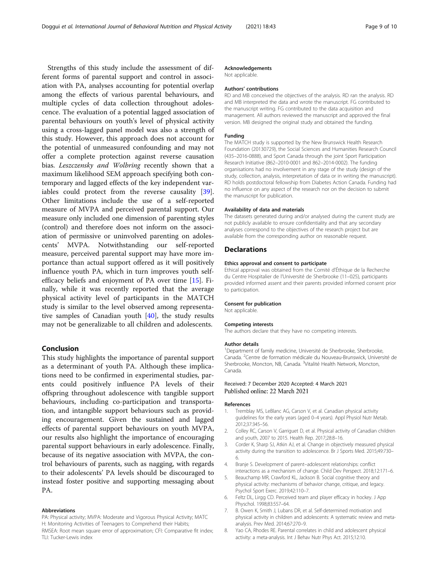<span id="page-8-0"></span>Strengths of this study include the assessment of different forms of parental support and control in association with PA, analyses accounting for potential overlap among the effects of various parental behaviours, and multiple cycles of data collection throughout adolescence. The evaluation of a potential lagged association of parental behaviours on youth's level of physical activity using a cross-lagged panel model was also a strength of this study. However, this approach does not account for the potential of unmeasured confounding and may not offer a complete protection against reverse causation bias. Leszczensky and Wolbring recently shown that a maximum likelihood SEM approach specifying both contemporary and lagged effects of the key independent variables could protect from the reverse causality [\[39](#page-9-0)]. Other limitations include the use of a self-reported measure of MVPA and perceived parental support. Our measure only included one dimension of parenting styles (control) and therefore does not inform on the association of permissive or uninvolved parenting on adolescents' MVPA. Notwithstanding our self-reported measure, perceived parental support may have more importance than actual support offered as it will positively influence youth PA, which in turn improves youth selfefficacy beliefs and enjoyment of PA over time [\[15](#page-9-0)]. Finally, while it was recently reported that the average physical activity level of participants in the MATCH study is similar to the level observed among representative samples of Canadian youth [[40\]](#page-9-0), the study results may not be generalizable to all children and adolescents.

# Conclusion

This study highlights the importance of parental support as a determinant of youth PA. Although these implications need to be confirmed in experimental studies, parents could positively influence PA levels of their offspring throughout adolescence with tangible support behaviours, including co-participation and transportation, and intangible support behaviours such as providing encouragement. Given the sustained and lagged effects of parental support behaviours on youth MVPA, our results also highlight the importance of encouraging parental support behaviours in early adolescence. Finally, because of its negative association with MVPA, the control behaviours of parents, such as nagging, with regards to their adolescents' PA levels should be discouraged to instead foster positive and supporting messaging about PA.

#### Abbreviations

PA: Physical activity; MVPA: Moderate and Vigorous Physical Activity; MATC H: Monitoring Activities of Teenagers to Comprehend their Habits; RMSEA: Root mean square error of approximation; CFI: Comparative fit index; TLI: Tucker-Lewis index

#### Acknowledgements

Not applicable.

#### Authors' contributions

RD and MB conceived the objectives of the analysis. RD ran the analysis. RD and MB interpreted the data and wrote the manuscript. FG contributed to the manuscript writing. FG contributed to the data acquisition and management. All authors reviewed the manuscript and approved the final version. MB designed the original study and obtained the funding.

#### Funding

The MATCH study is supported by the New Brunswick Health Research Foundation (20130729), the Social Sciences and Humanities Research Council (435–2016-0888), and Sport Canada through the joint Sport Participation Research Initiative (862–2010-0001 and 862–2014-0002). The funding organisations had no involvement in any stage of the study (design of the study, collection, analysis, interpretation of data or in writing the manuscript). RD holds postdoctoral fellowship from Diabetes Action Canada. Funding had no influence on any aspect of the research nor on the decision to submit the manuscript for publication.

#### Availability of data and materials

The datasets generated during and/or analysed during the current study are not publicly available to ensure confidentiality and that any secondary analyses correspond to the objectives of the research project but are available from the corresponding author on reasonable request.

#### Declarations

#### Ethics approval and consent to participate

Ethical approval was obtained from the Comité d'Éthique de la Recherche du Centre Hospitalier de l'Université de Sherbrooke (11–025), participants provided informed assent and their parents provided informed consent prior to participation.

#### Consent for publication

Not applicable.

#### Competing interests

The authors declare that they have no competing interests.

#### Author details

<sup>1</sup>Department of family medicine, Université de Sherbrooke, Sherbrooke, Canada. <sup>2</sup> Centre de formation médicale du Nouveau-Brunswick, Université de Sherbrooke, Moncton, NB, Canada. <sup>3</sup>Vitalité Health Network, Moncton, Canada.

### Received: 7 December 2020 Accepted: 4 March 2021 Published online: 22 March 2021

#### References

- 1. Tremblay MS, LeBlanc AG, Carson V, et al. Canadian physical activity guidelines for the early years (aged 0–4 years). Appl Physiol Nutr Metab. 2012;37:345–56.
- 2. Colley RC, Carson V, Garriguet D, et al. Physical activity of Canadian children and youth, 2007 to 2015. Health Rep. 2017;28:8–16.
- 3. Corder K, Sharp SJ, Atkin AJ, et al. Change in objectively measured physical activity during the transition to adolescence. Br J Sports Med. 2015;49:730– 6.
- 4. Branje S. Development of parent–adolescent relationships: conflict interactions as a mechanism of change. Child Dev Perspect. 2018;12:171–6.
- 5. Beauchamp MR, Crawford KL, Jackson B. Social cognitive theory and physical activity: mechanisms of behavior change, critique, and legacy. Psychol Sport Exerc. 2019;42:110–7.
- 6. Feltz DL, Lirgg CD. Perceived team and player efficacy in hockey. J App Physchol. 1998;83:557–64.
- 7. B. Owen K, Smith J, Lubans DR, et al. Self-determined motivation and physical activity in children and adolescents: A systematic review and metaanalysis. Prev Med. 2014;67:270–9.
- 8. Yao CA, Rhodes RE. Parental correlates in child and adolescent physical activity: a meta-analysis. Int J Behav Nutr Phys Act. 2015;12:10.